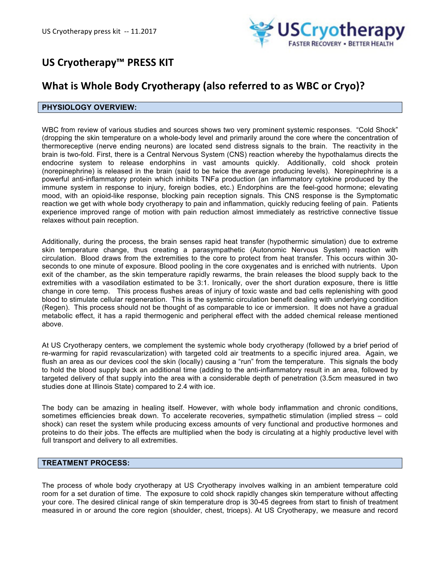

# **US Cryotherapy™ PRESS KIT**

# **What is Whole Body Cryotherapy (also referred to as WBC or Cryo)?**

### **PHYSIOLOGY OVERVIEW:**

WBC from review of various studies and sources shows two very prominent systemic responses. "Cold Shock" (dropping the skin temperature on a whole-body level and primarily around the core where the concentration of thermoreceptive (nerve ending neurons) are located send distress signals to the brain. The reactivity in the brain is two-fold. First, there is a Central Nervous System (CNS) reaction whereby the hypothalamus directs the endocrine system to release endorphins in vast amounts quickly. Additionally, cold shock protein (norepinephrine) is released in the brain (said to be twice the average producing levels). Norepinephrine is a powerful anti-inflammatory protein which inhibits TNFa production (an inflammatory cytokine produced by the immune system in response to injury, foreign bodies, etc.) Endorphins are the feel-good hormone; elevating mood, with an opioid-like response, blocking pain reception signals. This CNS response is the Symptomatic reaction we get with whole body cryotherapy to pain and inflammation, quickly reducing feeling of pain. Patients experience improved range of motion with pain reduction almost immediately as restrictive connective tissue relaxes without pain reception.

Additionally, during the process, the brain senses rapid heat transfer (hypothermic simulation) due to extreme skin temperature change, thus creating a parasympathetic (Autonomic Nervous System) reaction with circulation. Blood draws from the extremities to the core to protect from heat transfer. This occurs within 30 seconds to one minute of exposure. Blood pooling in the core oxygenates and is enriched with nutrients. Upon exit of the chamber, as the skin temperature rapidly rewarms, the brain releases the blood supply back to the extremities with a vasodilation estimated to be 3:1. Ironically, over the short duration exposure, there is little change in core temp. This process flushes areas of injury of toxic waste and bad cells replenishing with good blood to stimulate cellular regeneration. This is the systemic circulation benefit dealing with underlying condition (Regen). This process should not be thought of as comparable to ice or immersion. It does not have a gradual metabolic effect, it has a rapid thermogenic and peripheral effect with the added chemical release mentioned above.

At US Cryotherapy centers, we complement the systemic whole body cryotherapy (followed by a brief period of re-warming for rapid revascularization) with targeted cold air treatments to a specific injured area. Again, we flush an area as our devices cool the skin (locally) causing a "run" from the temperature. This signals the body to hold the blood supply back an additional time (adding to the anti-inflammatory result in an area, followed by targeted delivery of that supply into the area with a considerable depth of penetration (3.5cm measured in two studies done at Illinois State) compared to 2.4 with ice.

The body can be amazing in healing itself. However, with whole body inflammation and chronic conditions, sometimes efficiencies break down. To accelerate recoveries, sympathetic stimulation (implied stress – cold shock) can reset the system while producing excess amounts of very functional and productive hormones and proteins to do their jobs. The effects are multiplied when the body is circulating at a highly productive level with full transport and delivery to all extremities.

### **TREATMENT PROCESS:**

The process of whole body cryotherapy at US Cryotherapy involves walking in an ambient temperature cold room for a set duration of time. The exposure to cold shock rapidly changes skin temperature without affecting your core. The desired clinical range of skin temperature drop is 30-45 degrees from start to finish of treatment measured in or around the core region (shoulder, chest, triceps). At US Cryotherapy, we measure and record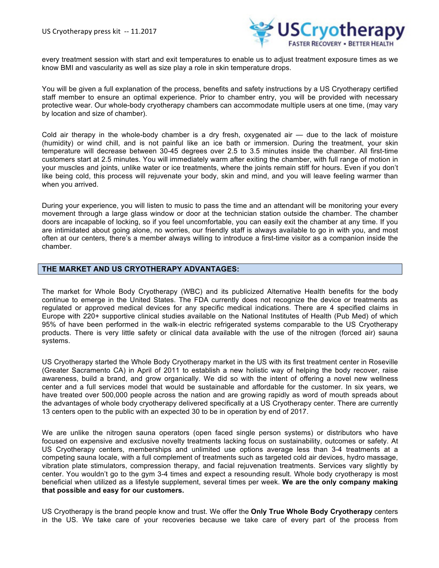

every treatment session with start and exit temperatures to enable us to adjust treatment exposure times as we know BMI and vascularity as well as size play a role in skin temperature drops.

You will be given a full explanation of the process, benefits and safety instructions by a US Cryotherapy certified staff member to ensure an optimal experience. Prior to chamber entry, you will be provided with necessary protective wear. Our whole-body cryotherapy chambers can accommodate multiple users at one time, (may vary by location and size of chamber).

Cold air therapy in the whole-body chamber is a dry fresh, oxygenated air — due to the lack of moisture (humidity) or wind chill, and is not painful like an ice bath or immersion. During the treatment, your skin temperature will decrease between 30-45 degrees over 2.5 to 3.5 minutes inside the chamber. All first-time customers start at 2.5 minutes. You will immediately warm after exiting the chamber, with full range of motion in your muscles and joints, unlike water or ice treatments, where the joints remain stiff for hours. Even if you don't like being cold, this process will rejuvenate your body, skin and mind, and you will leave feeling warmer than when you arrived.

During your experience, you will listen to music to pass the time and an attendant will be monitoring your every movement through a large glass window or door at the technician station outside the chamber. The chamber doors are incapable of locking, so if you feel uncomfortable, you can easily exit the chamber at any time. If you are intimidated about going alone, no worries, our friendly staff is always available to go in with you, and most often at our centers, there's a member always willing to introduce a first-time visitor as a companion inside the chamber.

### **THE MARKET AND US CRYOTHERAPY ADVANTAGES:**

The market for Whole Body Cryotherapy (WBC) and its publicized Alternative Health benefits for the body continue to emerge in the United States. The FDA currently does not recognize the device or treatments as regulated or approved medical devices for any specific medical indications. There are 4 specified claims in Europe with 220+ supportive clinical studies available on the National Institutes of Health (Pub Med) of which 95% of have been performed in the walk-in electric refrigerated systems comparable to the US Cryotherapy products. There is very little safety or clinical data available with the use of the nitrogen (forced air) sauna systems.

US Cryotherapy started the Whole Body Cryotherapy market in the US with its first treatment center in Roseville (Greater Sacramento CA) in April of 2011 to establish a new holistic way of helping the body recover, raise awareness, build a brand, and grow organically. We did so with the intent of offering a novel new wellness center and a full services model that would be sustainable and affordable for the customer. In six years, we have treated over 500,000 people across the nation and are growing rapidly as word of mouth spreads about the advantages of whole body cryotherapy delivered specifically at a US Cryotherapy center. There are currently 13 centers open to the public with an expected 30 to be in operation by end of 2017.

We are unlike the nitrogen sauna operators (open faced single person systems) or distributors who have focused on expensive and exclusive novelty treatments lacking focus on sustainability, outcomes or safety. At US Cryotherapy centers, memberships and unlimited use options average less than 3-4 treatments at a competing sauna locale, with a full complement of treatments such as targeted cold air devices, hydro massage, vibration plate stimulators, compression therapy, and facial rejuvenation treatments. Services vary slightly by center. You wouldn't go to the gym 3-4 times and expect a resounding result. Whole body cryotherapy is most beneficial when utilized as a lifestyle supplement, several times per week. **We are the only company making that possible and easy for our customers.**

US Cryotherapy is the brand people know and trust. We offer the **Only True Whole Body Cryotherapy** centers in the US. We take care of your recoveries because we take care of every part of the process from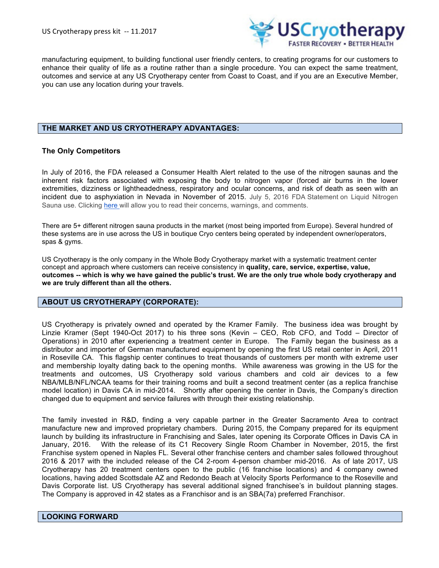

manufacturing equipment, to building functional user friendly centers, to creating programs for our customers to enhance their quality of life as a routine rather than a single procedure. You can expect the same treatment, outcomes and service at any US Cryotherapy center from Coast to Coast, and if you are an Executive Member, you can use any location during your travels.

### **THE MARKET AND US CRYOTHERAPY ADVANTAGES:**

### **The Only Competitors**

In July of 2016, the FDA released a Consumer Health Alert related to the use of the nitrogen saunas and the inherent risk factors associated with exposing the body to nitrogen vapor (forced air burns in the lower extremities, dizziness or lightheadedness, respiratory and ocular concerns, and risk of death as seen with an incident due to asphyxiation in Nevada in November of 2015. July 5, 2016 FDA Statement on Liquid Nitrogen Sauna use. Clicking here will allow you to read their concerns, warnings, and comments.

There are 5+ different nitrogen sauna products in the market (most being imported from Europe). Several hundred of these systems are in use across the US in boutique Cryo centers being operated by independent owner/operators, spas & gyms.

US Cryotherapy is the only company in the Whole Body Cryotherapy market with a systematic treatment center concept and approach where customers can receive consistency in **quality, care, service, expertise, value, outcomes -- which is why we have gained the public's trust. We are the only true whole body cryotherapy and we are truly different than all the others.**

### **ABOUT US CRYOTHERAPY (CORPORATE):**

US Cryotherapy is privately owned and operated by the Kramer Family. The business idea was brought by Linzie Kramer (Sept 1940-Oct 2017) to his three sons (Kevin – CEO, Rob CFO, and Todd – Director of Operations) in 2010 after experiencing a treatment center in Europe. The Family began the business as a distributor and importer of German manufactured equipment by opening the first US retail center in April, 2011 in Roseville CA. This flagship center continues to treat thousands of customers per month with extreme user and membership loyalty dating back to the opening months. While awareness was growing in the US for the treatments and outcomes, US Cryotherapy sold various chambers and cold air devices to a few NBA/MLB/NFL/NCAA teams for their training rooms and built a second treatment center (as a replica franchise model location) in Davis CA in mid-2014. Shortly after opening the center in Davis, the Company's direction changed due to equipment and service failures with through their existing relationship.

The family invested in R&D, finding a very capable partner in the Greater Sacramento Area to contract manufacture new and improved proprietary chambers. During 2015, the Company prepared for its equipment launch by building its infrastructure in Franchising and Sales, later opening its Corporate Offices in Davis CA in January, 2016. With the release of its C1 Recovery Single Room Chamber in November, 2015, the first Franchise system opened in Naples FL. Several other franchise centers and chamber sales followed throughout 2016 & 2017 with the included release of the C4 2-room 4-person chamber mid-2016. As of late 2017, US Cryotherapy has 20 treatment centers open to the public (16 franchise locations) and 4 company owned locations, having added Scottsdale AZ and Redondo Beach at Velocity Sports Performance to the Roseville and Davis Corporate list. US Cryotherapy has several additional signed franchisee's in buildout planning stages. The Company is approved in 42 states as a Franchisor and is an SBA(7a) preferred Franchisor.

### **LOOKING FORWARD**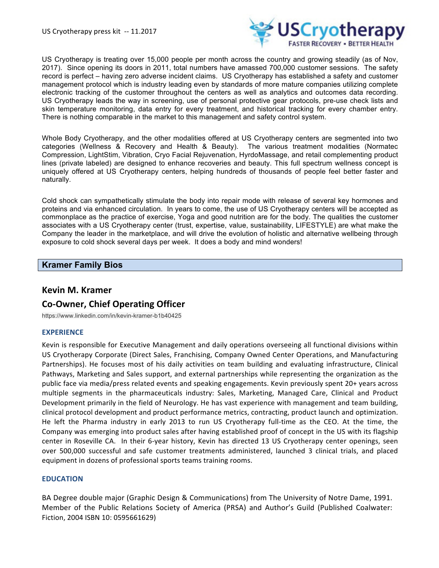

US Cryotherapy is treating over 15,000 people per month across the country and growing steadily (as of Nov, 2017). Since opening its doors in 2011, total numbers have amassed 700,000 customer sessions. The safety record is perfect – having zero adverse incident claims. US Cryotherapy has established a safety and customer management protocol which is industry leading even by standards of more mature companies utilizing complete electronic tracking of the customer throughout the centers as well as analytics and outcomes data recording. US Cryotherapy leads the way in screening, use of personal protective gear protocols, pre-use check lists and skin temperature monitoring, data entry for every treatment, and historical tracking for every chamber entry. There is nothing comparable in the market to this management and safety control system.

Whole Body Cryotherapy, and the other modalities offered at US Cryotherapy centers are segmented into two categories (Wellness & Recovery and Health & Beauty). The various treatment modalities (Normatec Compression, LightStim, Vibration, Cryo Facial Rejuvenation, HyrdoMassage, and retail complementing product lines (private labeled) are designed to enhance recoveries and beauty. This full spectrum wellness concept is uniquely offered at US Cryotherapy centers, helping hundreds of thousands of people feel better faster and naturally.

Cold shock can sympathetically stimulate the body into repair mode with release of several key hormones and proteins and via enhanced circulation. In years to come, the use of US Cryotherapy centers will be accepted as commonplace as the practice of exercise, Yoga and good nutrition are for the body. The qualities the customer associates with a US Cryotherapy center (trust, expertise, value, sustainability, LIFESTYLE) are what make the Company the leader in the marketplace, and will drive the evolution of holistic and alternative wellbeing through exposure to cold shock several days per week. It does a body and mind wonders!

## **Kramer Family Bios**

### **Kevin M. Kramer**

## **Co-Owner, Chief Operating Officer**

https://www.linkedin.com/in/kevin-kramer-b1b40425

### **EXPERIENCE**

Kevin is responsible for Executive Management and daily operations overseeing all functional divisions within US Cryotherapy Corporate (Direct Sales, Franchising, Company Owned Center Operations, and Manufacturing Partnerships). He focuses most of his daily activities on team building and evaluating infrastructure, Clinical Pathways, Marketing and Sales support, and external partnerships while representing the organization as the public face via media/press related events and speaking engagements. Kevin previously spent 20+ years across multiple segments in the pharmaceuticals industry: Sales, Marketing, Managed Care, Clinical and Product Development primarily in the field of Neurology. He has vast experience with management and team building, clinical protocol development and product performance metrics, contracting, product launch and optimization. He left the Pharma industry in early 2013 to run US Cryotherapy full-time as the CEO. At the time, the Company was emerging into product sales after having established proof of concept in the US with its flagship center in Roseville CA. In their 6-year history, Kevin has directed 13 US Cryotherapy center openings, seen over 500,000 successful and safe customer treatments administered, launched 3 clinical trials, and placed equipment in dozens of professional sports teams training rooms.

### **EDUCATION**

BA Degree double major (Graphic Design & Communications) from The University of Notre Dame, 1991. Member of the Public Relations Society of America (PRSA) and Author's Guild (Published Coalwater: Fiction, 2004 ISBN 10: 0595661629)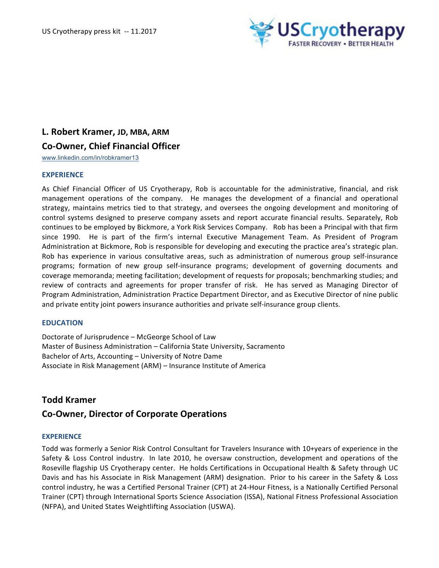

# **L. Robert Kramer, JD, MBA, ARM Co-Owner, Chief Financial Officer**

www.linkedin.com/in/robkramer13

### **EXPERIENCE**

As Chief Financial Officer of US Cryotherapy, Rob is accountable for the administrative, financial, and risk management operations of the company. He manages the development of a financial and operational strategy, maintains metrics tied to that strategy, and oversees the ongoing development and monitoring of control systems designed to preserve company assets and report accurate financial results. Separately, Rob continues to be employed by Bickmore, a York Risk Services Company. Rob has been a Principal with that firm since 1990. He is part of the firm's internal Executive Management Team. As President of Program Administration at Bickmore, Rob is responsible for developing and executing the practice area's strategic plan. Rob has experience in various consultative areas, such as administration of numerous group self-insurance programs; formation of new group self-insurance programs; development of governing documents and coverage memoranda; meeting facilitation; development of requests for proposals; benchmarking studies; and review of contracts and agreements for proper transfer of risk. He has served as Managing Director of Program Administration, Administration Practice Department Director, and as Executive Director of nine public and private entity joint powers insurance authorities and private self-insurance group clients.

### **EDUCATION**

Doctorate of Jurisprudence - McGeorge School of Law Master of Business Administration - California State University, Sacramento Bachelor of Arts, Accounting - University of Notre Dame Associate in Risk Management (ARM) - Insurance Institute of America

## **Todd Kramer**

## **Co-Owner, Director of Corporate Operations**

### **EXPERIENCE**

Todd was formerly a Senior Risk Control Consultant for Travelers Insurance with 10+years of experience in the Safety & Loss Control industry. In late 2010, he oversaw construction, development and operations of the Roseville flagship US Cryotherapy center. He holds Certifications in Occupational Health & Safety through UC Davis and has his Associate in Risk Management (ARM) designation. Prior to his career in the Safety & Loss control industry, he was a Certified Personal Trainer (CPT) at 24-Hour Fitness, is a Nationally Certified Personal Trainer (CPT) through International Sports Science Association (ISSA), National Fitness Professional Association (NFPA), and United States Weightlifting Association (USWA).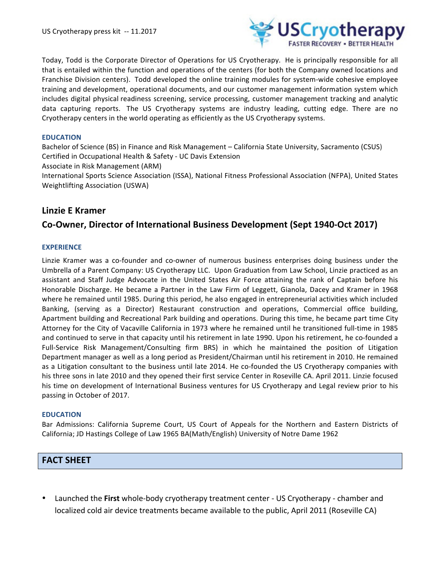

Today, Todd is the Corporate Director of Operations for US Cryotherapy. He is principally responsible for all that is entailed within the function and operations of the centers (for both the Company owned locations and Franchise Division centers). Todd developed the online training modules for system-wide cohesive employee training and development, operational documents, and our customer management information system which includes digital physical readiness screening, service processing, customer management tracking and analytic data capturing reports. The US Cryotherapy systems are industry leading, cutting edge. There are no Cryotherapy centers in the world operating as efficiently as the US Cryotherapy systems.

### **EDUCATION**

Bachelor of Science (BS) in Finance and Risk Management – California State University, Sacramento (CSUS) Certified in Occupational Health & Safety - UC Davis Extension Associate in Risk Management (ARM) International Sports Science Association (ISSA), National Fitness Professional Association (NFPA), United States Weightlifting Association (USWA)

## **Linzie E Kramer**

## **Co-Owner, Director of International Business Development (Sept 1940-Oct 2017)**

### **EXPERIENCE**

Linzie Kramer was a co-founder and co-owner of numerous business enterprises doing business under the Umbrella of a Parent Company: US Cryotherapy LLC. Upon Graduation from Law School, Linzie practiced as an assistant and Staff Judge Advocate in the United States Air Force attaining the rank of Captain before his Honorable Discharge. He became a Partner in the Law Firm of Leggett, Gianola, Dacey and Kramer in 1968 where he remained until 1985. During this period, he also engaged in entrepreneurial activities which included Banking, (serving as a Director) Restaurant construction and operations, Commercial office building, Apartment building and Recreational Park building and operations. During this time, he became part time City Attorney for the City of Vacaville California in 1973 where he remained until he transitioned full-time in 1985 and continued to serve in that capacity until his retirement in late 1990. Upon his retirement, he co-founded a Full-Service Risk Management/Consulting firm BRS) in which he maintained the position of Litigation Department manager as well as a long period as President/Chairman until his retirement in 2010. He remained as a Litigation consultant to the business until late 2014. He co-founded the US Cryotherapy companies with his three sons in late 2010 and they opened their first service Center in Roseville CA. April 2011. Linzie focused his time on development of International Business ventures for US Cryotherapy and Legal review prior to his passing in October of 2017.

### **EDUCATION**

Bar Admissions: California Supreme Court, US Court of Appeals for the Northern and Eastern Districts of California; JD Hastings College of Law 1965 BA(Math/English) University of Notre Dame 1962

## **FACT SHEET**

Launched the **First** whole-body cryotherapy treatment center - US Cryotherapy - chamber and localized cold air device treatments became available to the public, April 2011 (Roseville CA)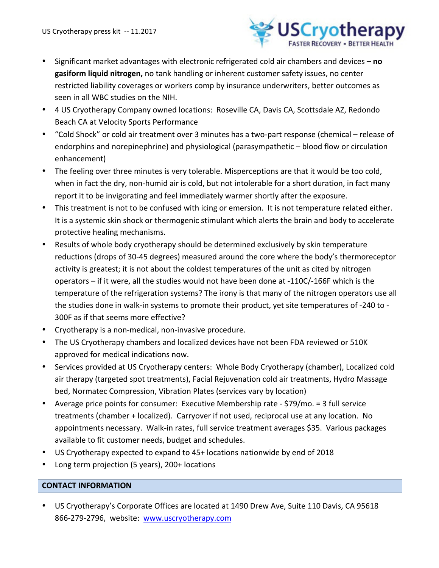

- Significant market advantages with electronic refrigerated cold air chambers and devices no **gasiform liquid nitrogen,** no tank handling or inherent customer safety issues, no center restricted liability coverages or workers comp by insurance underwriters, better outcomes as seen in all WBC studies on the NIH.
- 4 US Cryotherapy Company owned locations: Roseville CA, Davis CA, Scottsdale AZ, Redondo Beach CA at Velocity Sports Performance
- "Cold Shock" or cold air treatment over 3 minutes has a two-part response (chemical release of endorphins and norepinephrine) and physiological (parasympathetic  $-$  blood flow or circulation enhancement)
- The feeling over three minutes is very tolerable. Misperceptions are that it would be too cold, when in fact the dry, non-humid air is cold, but not intolerable for a short duration, in fact many report it to be invigorating and feel immediately warmer shortly after the exposure.
- This treatment is not to be confused with icing or emersion. It is not temperature related either. It is a systemic skin shock or thermogenic stimulant which alerts the brain and body to accelerate protective healing mechanisms.
- Results of whole body cryotherapy should be determined exclusively by skin temperature reductions (drops of 30-45 degrees) measured around the core where the body's thermoreceptor activity is greatest; it is not about the coldest temperatures of the unit as cited by nitrogen operators – if it were, all the studies would not have been done at -110C/-166F which is the temperature of the refrigeration systems? The irony is that many of the nitrogen operators use all the studies done in walk-in systems to promote their product, yet site temperatures of -240 to -300F as if that seems more effective?
- Cryotherapy is a non-medical, non-invasive procedure.
- The US Cryotherapy chambers and localized devices have not been FDA reviewed or 510K approved for medical indications now.
- Services provided at US Cryotherapy centers: Whole Body Cryotherapy (chamber), Localized cold air therapy (targeted spot treatments), Facial Rejuvenation cold air treatments, Hydro Massage bed, Normatec Compression, Vibration Plates (services vary by location)
- Average price points for consumer: Executive Membership rate  $$79/mo. = 3$  full service treatments (chamber + localized). Carryover if not used, reciprocal use at any location. No appointments necessary. Walk-in rates, full service treatment averages \$35. Various packages available to fit customer needs, budget and schedules.
- US Cryotherapy expected to expand to 45+ locations nationwide by end of 2018
- Long term projection (5 years), 200+ locations

## **CONTACT INFORMATION**

• US Cryotherapy's Corporate Offices are located at 1490 Drew Ave, Suite 110 Davis, CA 95618 866-279-2796, website: www.uscryotherapy.com